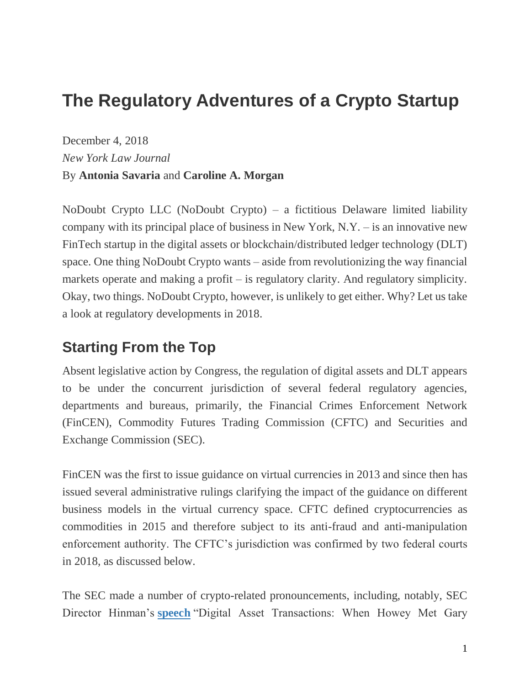# **The Regulatory Adventures of a Crypto Startup**

December 4, 2018 *New York Law Journal* By **Antonia Savaria** and **Caroline A. Morgan**

NoDoubt Crypto LLC (NoDoubt Crypto) – a fictitious Delaware limited liability company with its principal place of business in New York, N.Y. – is an innovative new FinTech startup in the digital assets or blockchain/distributed ledger technology (DLT) space. One thing NoDoubt Crypto wants – aside from revolutionizing the way financial markets operate and making a profit – is regulatory clarity. And regulatory simplicity. Okay, two things. NoDoubt Crypto, however, is unlikely to get either. Why? Let us take a look at regulatory developments in 2018.

#### **Starting From the Top**

Absent legislative action by Congress, the regulation of digital assets and DLT appears to be under the concurrent jurisdiction of several federal regulatory agencies, departments and bureaus, primarily, the Financial Crimes Enforcement Network (FinCEN), Commodity Futures Trading Commission (CFTC) and Securities and Exchange Commission (SEC).

FinCEN was the first to issue guidance on virtual currencies in 2013 and since then has issued several administrative rulings clarifying the impact of the guidance on different business models in the virtual currency space. CFTC defined cryptocurrencies as commodities in 2015 and therefore subject to its anti-fraud and anti-manipulation enforcement authority. The CFTC's jurisdiction was confirmed by two federal courts in 2018, as discussed below.

The SEC made a number of crypto-related pronouncements, including, notably, SEC Director Hinman's **[speech](https://www.sec.gov/news/speech/speech-hinman-061418)** "Digital Asset Transactions: When Howey Met Gary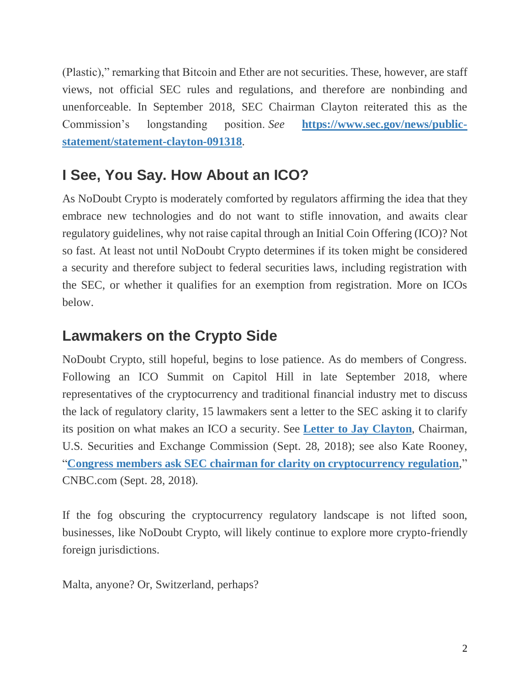(Plastic)," remarking that Bitcoin and Ether are not securities. These, however, are staff views, not official SEC rules and regulations, and therefore are nonbinding and unenforceable. In September 2018, SEC Chairman Clayton reiterated this as the Commission's longstanding position. *See* **[https://www.sec.gov/news/public](https://www.sec.gov/news/public-statement/statement-clayton-091318)[statement/statement-clayton-091318](https://www.sec.gov/news/public-statement/statement-clayton-091318)**.

### **I See, You Say. How About an ICO?**

As NoDoubt Crypto is moderately comforted by regulators affirming the idea that they embrace new technologies and do not want to stifle innovation, and awaits clear regulatory guidelines, why not raise capital through an Initial Coin Offering (ICO)? Not so fast. At least not until NoDoubt Crypto determines if its token might be considered a security and therefore subject to federal securities laws, including registration with the SEC, or whether it qualifies for an exemption from registration. More on ICOs below.

#### **Lawmakers on the Crypto Side**

NoDoubt Crypto, still hopeful, begins to lose patience. As do members of Congress. Following an ICO Summit on Capitol Hill in late September 2018, where representatives of the cryptocurrency and traditional financial industry met to discuss the lack of regulatory clarity, 15 lawmakers sent a letter to the SEC asking it to clarify its position on what makes an ICO a security. See **[Letter to Jay Clayton](https://budd.house.gov/uploadedfiles/budd_davidson_emmer_soto_sec_letter_final.pdf)**, Chairman, U.S. Securities and Exchange Commission (Sept. 28, 2018); see also Kate Rooney, "**[Congress members ask SEC chairman for clarity on cryptocurrency regulation](https://www.cnbc.com/2018/09/28/congress-ask-sec-chairman-for-clarity-on-cryptocurrency-regulation.html)**," CNBC.com (Sept. 28, 2018).

If the fog obscuring the cryptocurrency regulatory landscape is not lifted soon, businesses, like NoDoubt Crypto, will likely continue to explore more crypto-friendly foreign jurisdictions.

Malta, anyone? Or, Switzerland, perhaps?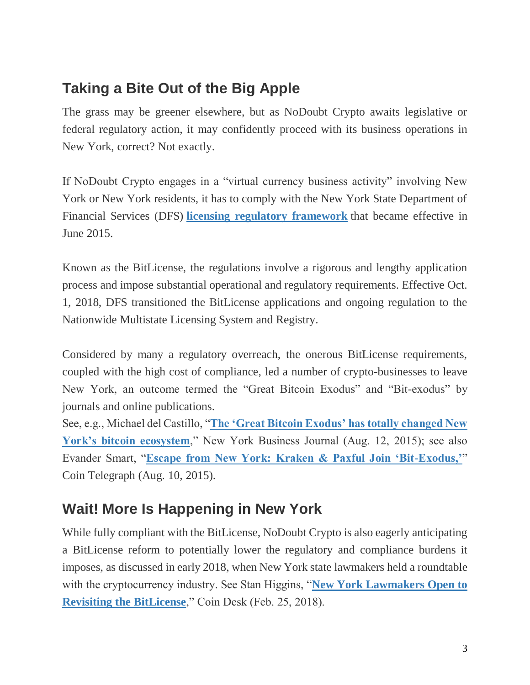## **Taking a Bite Out of the Big Apple**

The grass may be greener elsewhere, but as NoDoubt Crypto awaits legislative or federal regulatory action, it may confidently proceed with its business operations in New York, correct? Not exactly.

If NoDoubt Crypto engages in a "virtual currency business activity" involving New York or New York residents, it has to comply with the New York State Department of Financial Services (DFS) **[licensing regulatory framework](https://www.dfs.ny.gov/legal/regulations/adoptions/dfsp200t.pdf)** that became effective in June 2015.

Known as the BitLicense, the regulations involve a rigorous and lengthy application process and impose substantial operational and regulatory requirements. Effective Oct. 1, 2018, DFS transitioned the BitLicense applications and ongoing regulation to the Nationwide Multistate Licensing System and Registry.

Considered by many a regulatory overreach, the onerous BitLicense requirements, coupled with the high cost of compliance, led a number of crypto-businesses to leave New York, an outcome termed the "Great Bitcoin Exodus" and "Bit-exodus" by journals and online publications.

See, e.g., Michael del Castillo, "**[The 'Great Bitcoin Exodus' has totally changed New](https://www.bizjournals.com/newyork/news/2015/08/12/the-great-bitcoin-exodus-has-totally-changed-new.html)  [York's bitcoin ecosystem](https://www.bizjournals.com/newyork/news/2015/08/12/the-great-bitcoin-exodus-has-totally-changed-new.html)**," New York Business Journal (Aug. 12, 2015); see also Evander Smart, "**[Escape from New York: Kraken & Paxful Join 'Bit-Exodus,'](https://cointelegraph.com/news/escape-from-new-york-kraken-paxful-join-bit-exodus)**" Coin Telegraph (Aug. 10, 2015).

# **Wait! More Is Happening in New York**

While fully compliant with the BitLicense, NoDoubt Crypto is also eagerly anticipating a BitLicense reform to potentially lower the regulatory and compliance burdens it imposes, as discussed in early 2018, when New York state lawmakers held a roundtable with the cryptocurrency industry. See Stan Higgins, "**[New York Lawmakers Open to](https://www.coindesk.com/bitcoin-crypto-ny-lawmaker-pledges-make-bitlicense-something-works)  [Revisiting the BitLicense](https://www.coindesk.com/bitcoin-crypto-ny-lawmaker-pledges-make-bitlicense-something-works)**," Coin Desk (Feb. 25, 2018).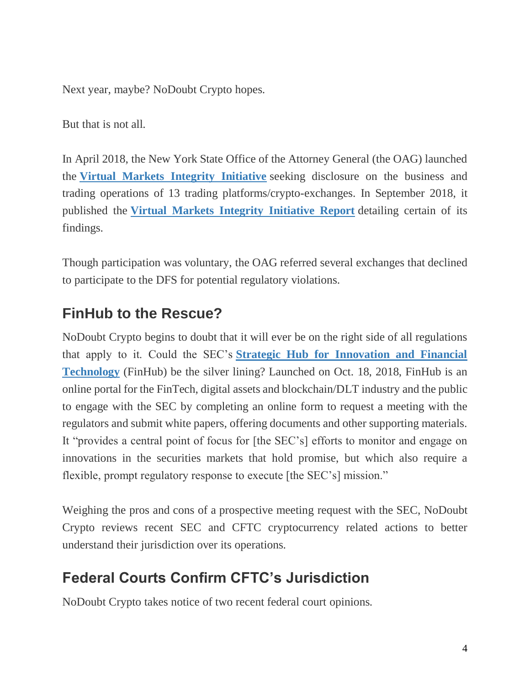Next year, maybe? NoDoubt Crypto hopes.

But that is not all.

In April 2018, the New York State Office of the Attorney General (the OAG) launched the **[Virtual Markets Integrity Initiative](https://ag.ny.gov/press-release/ag-schneiderman-launches-inquiry-cryptocurrency-exchanges)** seeking disclosure on the business and trading operations of 13 trading platforms/crypto-exchanges. In September 2018, it published the **[Virtual Markets Integrity Initiative Report](https://ag.ny.gov/sites/default/files/vmii_report.pdf)** detailing certain of its findings.

Though participation was voluntary, the OAG referred several exchanges that declined to participate to the DFS for potential regulatory violations.

### **FinHub to the Rescue?**

NoDoubt Crypto begins to doubt that it will ever be on the right side of all regulations that apply to it. Could the SEC's **[Strategic Hub for Innovation and Financial](https://www.sec.gov/news/press-release/2018-240)  [Technology](https://www.sec.gov/news/press-release/2018-240)** (FinHub) be the silver lining? Launched on Oct. 18, 2018, FinHub is an online portal for the FinTech, digital assets and blockchain/DLT industry and the public to engage with the SEC by completing an online form to request a meeting with the regulators and submit white papers, offering documents and other supporting materials. It "provides a central point of focus for [the SEC's] efforts to monitor and engage on innovations in the securities markets that hold promise, but which also require a flexible, prompt regulatory response to execute [the SEC's] mission."

Weighing the pros and cons of a prospective meeting request with the SEC, NoDoubt Crypto reviews recent SEC and CFTC cryptocurrency related actions to better understand their jurisdiction over its operations.

## **Federal Courts Confirm CFTC's Jurisdiction**

NoDoubt Crypto takes notice of two recent federal court opinions.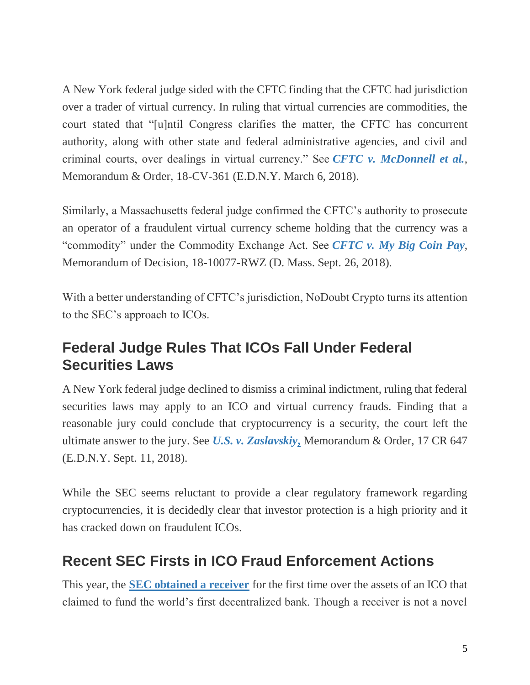A New York federal judge sided with the CFTC finding that the CFTC had jurisdiction over a trader of virtual currency. In ruling that virtual currencies are commodities, the court stated that "[u]ntil Congress clarifies the matter, the CFTC has concurrent authority, along with other state and federal administrative agencies, and civil and criminal courts, over dealings in virtual currency." See *[CFTC v. McDonnell et al.](https://www.cftc.gov/sites/default/files/idc/groups/public/@lrenforcementactions/documents/legalpleading/enfcoindroporder030618.pdf)*, Memorandum & Order, 18-CV-361 (E.D.N.Y. March 6, 2018).

Similarly, a Massachusetts federal judge confirmed the CFTC's authority to prosecute an operator of a fraudulent virtual currency scheme holding that the currency was a "commodity" under the Commodity Exchange Act. See *[CFTC v. My Big Coin Pay](https://www.cftc.gov/sites/default/files/2018-10/enfmybigcoinpayincmemorandum092618.pdf)*, Memorandum of Decision, 18-10077-RWZ (D. Mass. Sept. 26, 2018).

With a better understanding of CFTC's jurisdiction, NoDoubt Crypto turns its attention to the SEC's approach to ICOs.

### **Federal Judge Rules That ICOs Fall Under Federal Securities Laws**

A New York federal judge declined to dismiss a criminal indictment, ruling that federal securities laws may apply to an ICO and virtual currency frauds. Finding that a reasonable jury could conclude that cryptocurrency is a security, the court left the ultimate answer to the jury. See *[U.S. v. Zaslavskiy](https://www.courtlistener.com/recap/gov.uscourts.nyed.409850/gov.uscourts.nyed.409850.37.0.pdf)***,** Memorandum & Order, 17 CR 647 (E.D.N.Y. Sept. 11, 2018).

While the SEC seems reluctant to provide a clear regulatory framework regarding cryptocurrencies, it is decidedly clear that investor protection is a high priority and it has cracked down on fraudulent ICOs.

### **Recent SEC Firsts in ICO Fraud Enforcement Actions**

This year, the **[SEC obtained a receiver](https://www.sec.gov/litigation/litreleases/2018/lr24088.htm)** for the first time over the assets of an ICO that claimed to fund the world's first decentralized bank. Though a receiver is not a novel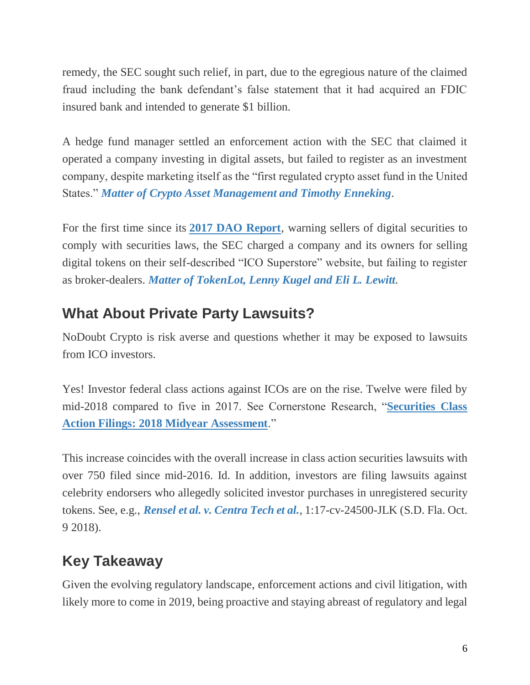remedy, the SEC sought such relief, in part, due to the egregious nature of the claimed fraud including the bank defendant's false statement that it had acquired an FDIC insured bank and intended to generate \$1 billion.

A hedge fund manager settled an enforcement action with the SEC that claimed it operated a company investing in digital assets, but failed to register as an investment company, despite marketing itself as the "first regulated crypto asset fund in the United States." *[Matter of Crypto Asset Management and Timothy Enneking](https://www.sec.gov/litigation/admin/2018/33-10544.pdf)*.

For the first time since its **[2017 DAO Report](https://www.sec.gov/litigation/investreport/34-81207.pdf)**, warning sellers of digital securities to comply with securities laws, the SEC charged a company and its owners for selling digital tokens on their self-described "ICO Superstore" website, but failing to register as broker-dealers. *[Matter of TokenLot, Lenny Kugel and Eli L. Lewitt](https://www.sec.gov/litigation/admin/2018/33-10543.pdf)*.

### **What About Private Party Lawsuits?**

NoDoubt Crypto is risk averse and questions whether it may be exposed to lawsuits from ICO investors.

Yes! Investor federal class actions against ICOs are on the rise. Twelve were filed by mid-2018 compared to five in 2017. See Cornerstone Research, "**[Securities Class](https://www.cornerstone.com/Publications/Reports/Securities-Securities-Class-Action-Filings%E2%80%942018-Midyear-Assessment)  [Action Filings: 2018 Midyear Assessment](https://www.cornerstone.com/Publications/Reports/Securities-Securities-Class-Action-Filings%E2%80%942018-Midyear-Assessment)**."

This increase coincides with the overall increase in class action securities lawsuits with over 750 filed since mid-2016. Id. In addition, investors are filing lawsuits against celebrity endorsers who allegedly solicited investor purchases in unregistered security tokens. See, e.g., *[Rensel et al. v. Centra Tech et al.](http://securities.stanford.edu/filings-documents/1064/CTI00_03/2018109_r01c_17CV24500.pdf)*, 1:17-cv-24500-JLK (S.D. Fla. Oct. 9 2018).

## **Key Takeaway**

Given the evolving regulatory landscape, enforcement actions and civil litigation, with likely more to come in 2019, being proactive and staying abreast of regulatory and legal